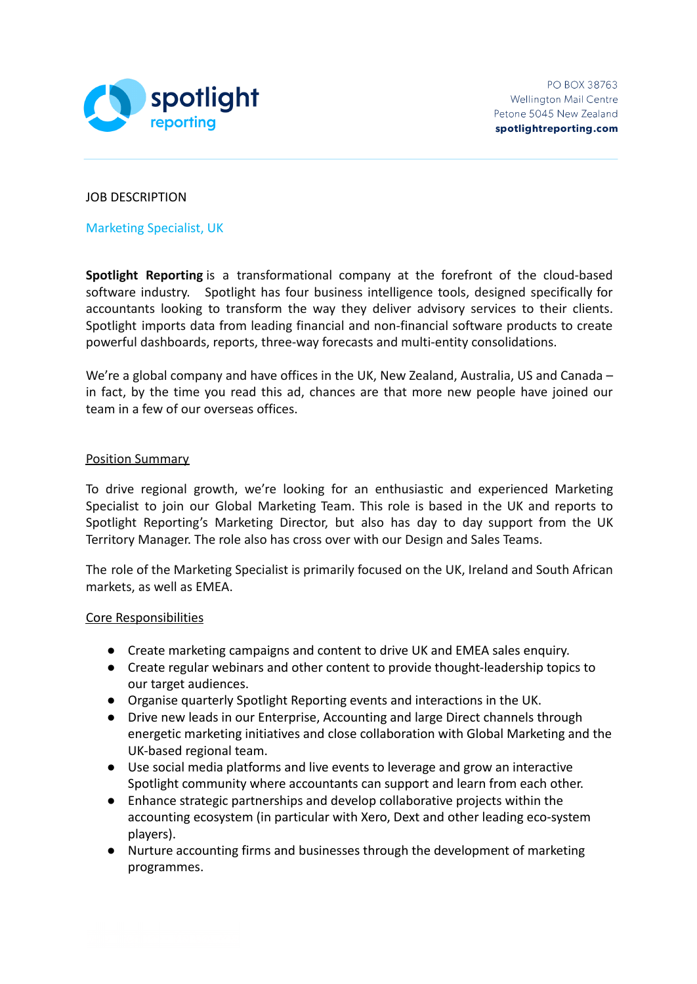

## JOB DESCRIPTION

Marketing Specialist, UK

**Spotlight Reporting** is a transformational company at the forefront of the cloud-based software industry. Spotlight has four business intelligence tools, designed specifically for accountants looking to transform the way they deliver advisory services to their clients. Spotlight imports data from leading financial and non-financial software products to create powerful dashboards, reports, three-way forecasts and multi-entity consolidations.

We're a global company and have offices in the UK, New Zealand, Australia, US and Canada in fact, by the time you read this ad, chances are that more new people have joined our team in a few of our overseas offices.

# Position Summary

To drive regional growth, we're looking for an enthusiastic and experienced Marketing Specialist to join our Global Marketing Team. This role is based in the UK and reports to Spotlight Reporting's Marketing Director, but also has day to day support from the UK Territory Manager. The role also has cross over with our Design and Sales Teams.

The role of the Marketing Specialist is primarily focused on the UK, Ireland and South African markets, as well as EMEA.

## Core Responsibilities

- Create marketing campaigns and content to drive UK and EMEA sales enquiry.
- Create regular webinars and other content to provide thought-leadership topics to our target audiences.
- Organise quarterly Spotlight Reporting events and interactions in the UK.
- Drive new leads in our Enterprise, Accounting and large Direct channels through energetic marketing initiatives and close collaboration with Global Marketing and the UK-based regional team.
- Use social media platforms and live events to leverage and grow an interactive Spotlight community where accountants can support and learn from each other.
- Enhance strategic partnerships and develop collaborative projects within the accounting ecosystem (in particular with Xero, Dext and other leading eco-system players).
- Nurture accounting firms and businesses through the development of marketing programmes.